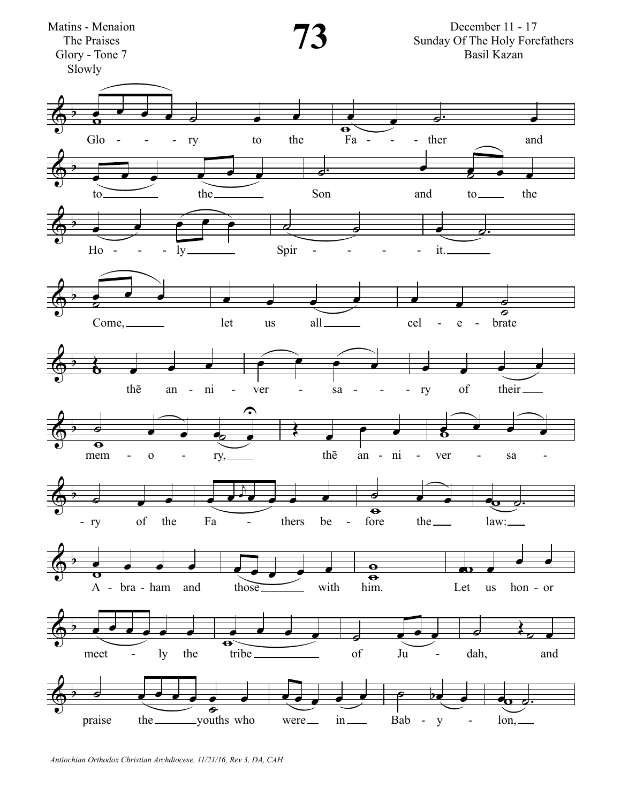

Antiochian Orthodox Christian Archdiocese, 11/21/16, Rev 3, DA, CAH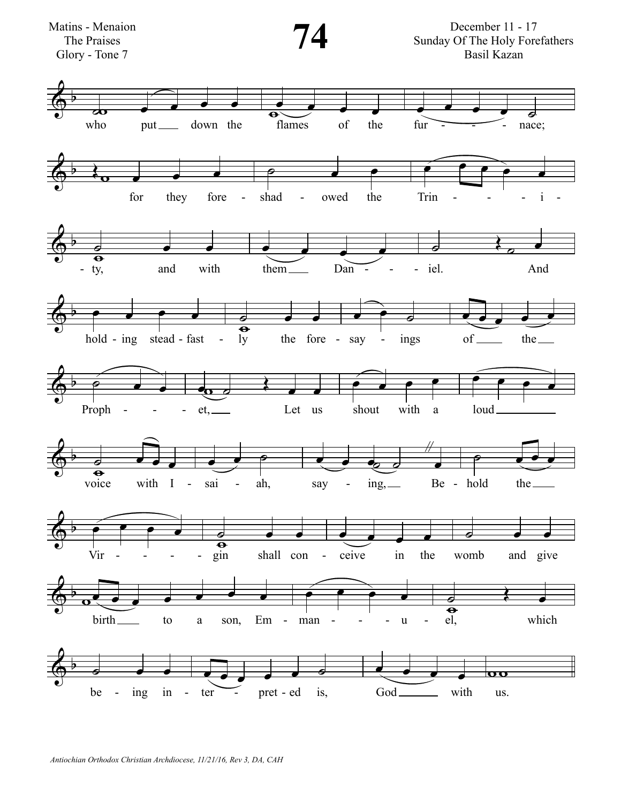